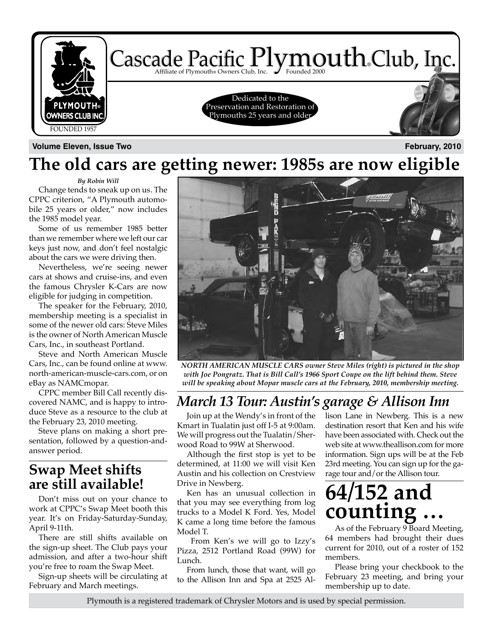

**Volume Eleven, Issue Two February, 2010**

### **The old cars are getting newer: 1985s are now eligible**

*By Robin Will*

Change tends to sneak up on us. The CPPC criterion, "A Plymouth automobile 25 years or older," now includes the 1985 model year.

Some of us remember 1985 better than we remember where we left our car keys just now, and don't feel nostalgic about the cars we were driving then.

Nevertheless, we're seeing newer cars at shows and cruise-ins, and even the famous Chrysler K-Cars are now eligible for judging in competition.

The speaker for the February, 2010, membership meeting is a specialist in some of the newer old cars: Steve Miles is the owner of North American Muscle Cars, Inc., in southeast Portland.

Steve and North American Muscle Cars, Inc., can be found online at www. north-american-muscle-cars.com, or on eBay as NAMCmopar.

CPPC member Bill Call recently discovered NAMC, and is happy to introduce Steve as a resource to the club at the February 23, 2010 meeting.

Steve plans on making a short presentation, followed by a question-andanswer period.

### **Swap Meet shifts are still available!**

Don't miss out on your chance to work at CPPC's Swap Meet booth this year. It's on Friday-Saturday-Sunday, April 9-11th.

There are still shifts available on the sign-up sheet. The Club pays your admission, and after a two-hour shift you're free to roam the Swap Meet.

Sign-up sheets will be circulating at February and March meetings.



*NORTH AMERICAN MUSCLE CARS owner Steve Miles (right) is pictured in the shop with Joe Pongratz. That is Bill Call's 1966 Sport Coupe on the lift behind them. Steve will be speaking about Mopar muscle cars at the February, 2010, membership meeting.*

### *March 13 Tour: Austin's garage & Allison Inn*

Join up at the Wendy's in front of the Kmart in Tualatin just off I-5 at 9:00am. We will progress out the Tualatin/Sherwood Road to 99W at Sherwood.

Although the first stop is yet to be determined, at 11:00 we will visit Ken Austin and his collection on Crestview Drive in Newberg.

Ken has an unusual collection in that you may see everything from log trucks to a Model K Ford. Yes, Model K came a long time before the famous Model T.

 From Ken's we will go to Izzy's Pizza, 2512 Portland Road (99W) for Lunch.

From lunch, those that want, will go to the Allison Inn and Spa at 2525 Allison Lane in Newberg. This is a new destination resort that Ken and his wife have been associated with. Check out the web site at www.theallison.com for more information. Sign ups will be at the Feb 23rd meeting. You can sign up for the garage tour and/or the Allison tour.

## **64/152 and counting …**

As of the February 9 Board Meeting, 64 members had brought their dues current for 2010, out of a roster of 152 members.

Please bring your checkbook to the February 23 meeting, and bring your membership up to date.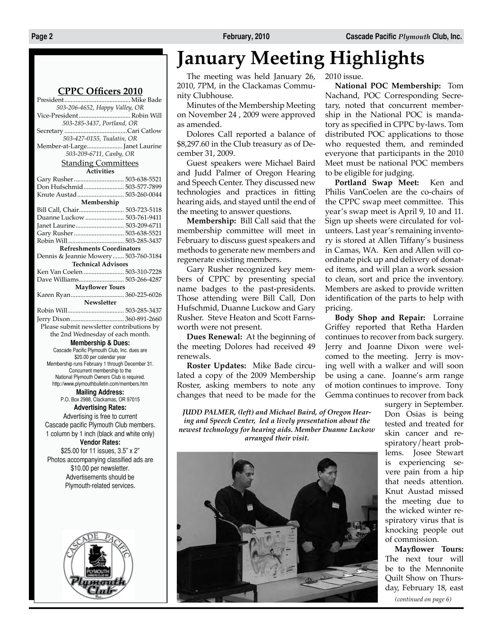#### **CPPC Officers 2010**

President......................................... Mike Bade *503-206-4652, Happy Valley, OR* Vice-President................................ Robin Will *503-285-3437, Portland, OR* Secretary .......................................Cari Catlow *503-427-0155, Tualatin, OR* Member-at-Large...................... Janet Laurine *503-209-6711, Canby, OR* Standing Committees **Activities** Gary Rusher............................... 503-638-5521 Don Hufschmid......................... 503-577-7899 Knute Austad............................. 503-260-0044 **Membership** Bill Call, Chair............................ 503-723-5118 Duanne Luckow........................ 503-761-9411 Janet Laurine.............................. 503-209-6711 Gary Rusher............................... 503-638-5521 Robin Will................................... 503-285-3437 **Refreshments Coordinators** Dennis & Jeannie Mowery....... 503-760-3184 **Technical Advisors** Ken Van Coelen ......................... 503-310-7228 Dave Williams............................ 503-266-4287 **Mayflower Tours** Karen Ryan................................. 360-225-6026 **Newsletter** Robin Will................................... 503-285-3437 Jerry Dixon................................. 360-891-2660 Please submit newsletter contributions by the 2nd Wednesday of each month. **Membership & Dues:** Cascade Pacific Plymouth Club, Inc. dues are \$20.00 per calendar year Membership runs February 1 through December 31. Concurrent membership to the National Plymouth Owners Club is required. http://www.plymouthbulletin.com/members.htm **Mailing Address:** P.O. Box 2988, Clackamas, OR 97015 **Advertising Rates:** Advertising is free to current Cascade pacific Plymouth Club members. 1 column by 1 inch (black and white only) **Vendor Rates:** \$25.00 for 11 issues, 3.5" x 2" Photos accompanying classified ads are \$10.00 per newsletter. Advertisements should be Plymouth-related services.



## **January Meeting Highlights**

The meeting was held January 26, 2010, 7PM, in the Clackamas Community Clubhouse.

Minutes of the Membership Meeting on November 24 , 2009 were approved as amended.

Dolores Call reported a balance of \$8,297.60 in the Club treasury as of December 31, 2009.

Guest speakers were Michael Baird and Judd Palmer of Oregon Hearing and Speech Center. They discussed new technologies and practices in fitting hearing aids, and stayed until the end of the meeting to answer questions.

**Membership:** Bill Call said that the membership committee will meet in February to discuss guest speakers and methods to generate new members and regenerate existing members.

Gary Rusher recognized key members of CPPC by presenting special name badges to the past-presidents. Those attending were Bill Call, Don Hufschmid, Duanne Luckow and Gary Rusher. Steve Heaton and Scott Farnsworth were not present.

**Dues Renewal:** At the beginning of the meeting Dolores had received 49 renewals.

**Roster Updates:** Mike Bade circulated a copy of the 2009 Membership Roster, asking members to note any changes that need to be made for the

*JUDD PALMER, (left) and Michael Baird, of Oregon Hearing and Speech Center, led a lively presentation about the newest technology for hearing aids. Member Duanne Luckow arranged their visit.*



2010 issue.

**National POC Membership:** Tom Nachand, POC Corresponding Secretary, noted that concurrent membership in the National POC is mandatory as specified in CPPC by-laws. Tom distributed POC applications to those who requested them, and reminded everyone that participants in the 2010 Meet must be national POC members to be eligible for judging.

**Portland Swap Meet:** Ken and Philis VanCoelen are the co-chairs of the CPPC swap meet committee. This year's swap meet is April 9, 10 and 11. Sign up sheets were circulated for volunteers. Last year's remaining inventory is stored at Allen Tiffany's business in Camas, WA. Ken and Allen will coordinate pick up and delivery of donated items, and will plan a work session to clean, sort and price the inventory. Members are asked to provide written identification of the parts to help with pricing.

**Body Shop and Repair:** Lorraine Griffey reported that Retha Harden continues to recover from back surgery. Jerry and Joanne Dixon were welcomed to the meeting. Jerry is moving well with a walker and will soon be using a cane. Joanne's arm range of motion continues to improve. Tony Gemma continues to recover from back

> surgery in September. Don Osias is being tested and treated for skin cancer and respiratory/heart problems. Josee Stewart is experiencing severe pain from a hip that needs attention. Knut Austad missed the meeting due to the wicked winter respiratory virus that is knocking people out of commission.

*(continued on page 6)* **Mayflower Tours:** The next tour will be to the Mennonite Quilt Show on Thursday, February 18, east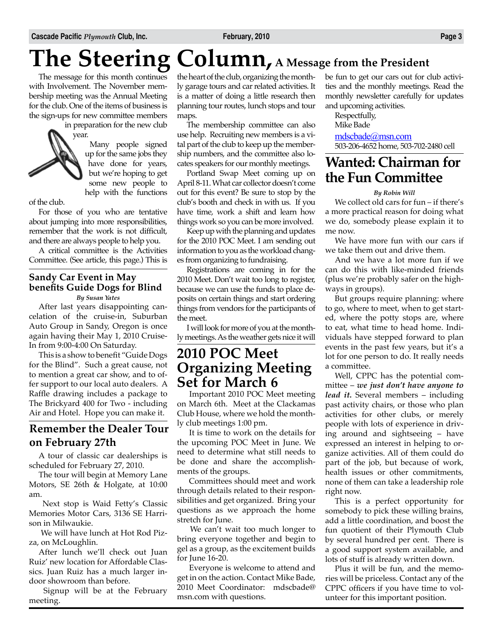# **The Steering Column, A Message from the President**

The message for this month continues with Involvement. The November membership meeting was the Annual Meeting for the club. One of the items of business is the sign-ups for new committee members in preparation for the new club

year.

Many people signed up for the same jobs they have done for years, but we're hoping to get some new people to help with the functions

of the club.

For those of you who are tentative about jumping into more responsibilities, remember that the work is not difficult, and there are always people to help you.

A critical committee is the Activities Committee. (See article, this page.) This is

#### *By Susan Yates* **Sandy Car Event in May benefits Guide Dogs for Blind**

After last years disappointing cancelation of the cruise-in, Suburban Auto Group in Sandy, Oregon is once again having their May 1, 2010 Cruise-In from 9:00-4:00 On Saturday.

This is a show to benefit "Guide Dogs for the Blind". Such a great cause, not to mention a great car show, and to offer support to our local auto dealers. A Raffle drawing includes a package to The Brickyard 400 for Two - including Air and Hotel. Hope you can make it.

### **Remember the Dealer Tour on February 27th**

A tour of classic car dealerships is scheduled for February 27, 2010.

The tour will begin at Memory Lane Motors, SE 26th & Holgate, at 10:00 am.

 Next stop is Waid Fetty's Classic Memories Motor Cars, 3136 SE Harrison in Milwaukie.

 We will have lunch at Hot Rod Pizza, on McLoughlin.

After lunch we'll check out Juan Ruiz' new location for Affordable Classics. Juan Ruiz has a much larger indoor showroom than before.

 Signup will be at the February meeting.

the heart of the club, organizing the monthly garage tours and car related activities. It is a matter of doing a little research then planning tour routes, lunch stops and tour maps.

The membership committee can also use help. Recruiting new members is a vital part of the club to keep up the membership numbers, and the committee also locates speakers for our monthly meetings.

Portland Swap Meet coming up on April 8-11. What car collector doesn't come out for this event? Be sure to stop by the club's booth and check in with us. If you have time, work a shift and learn how things work so you can be more involved.

Keep up with the planning and updates for the 2010 POC Meet. I am sending out information to you as the workload changes from organizing to fundraising.

Registrations are coming in for the 2010 Meet. Don't wait too long to register, because we can use the funds to place deposits on certain things and start ordering things from vendors for the participants of the meet.

I will look for more of you at the monthly meetings. As the weather gets nice it will

### **2010 POC Meet Organizing Meeting Set for March 6**

 Important 2010 POC Meet meeting on March 6th. Meet at the Clackamas Club House, where we hold the monthly club meetings 1:00 pm.

 It is time to work on the details for the upcoming POC Meet in June. We need to determine what still needs to be done and share the accomplishments of the groups.

 Committees should meet and work through details related to their responsibilities and get organized. Bring your questions as we approach the home stretch for June.

 We can't wait too much longer to bring everyone together and begin to gel as a group, as the excitement builds for June 16-20.

 Everyone is welcome to attend and get in on the action. Contact Mike Bade, 2010 Meet Coordinator: mdscbade@ msn.com with questions.

be fun to get our cars out for club activities and the monthly meetings. Read the monthly newsletter carefully for updates and upcoming activities.

Respectfully, Mike Bade mdscbade@msn.com 503-206-4652 home, 503-702-2480 cell

### **Wanted: Chairman for the Fun Committee**

#### *By Robin Will*

We collect old cars for fun – if there's a more practical reason for doing what we do, somebody please explain it to me now.

We have more fun with our cars if we take them out and drive them.

And we have a lot more fun if we can do this with like-minded friends (plus we're probably safer on the highways in groups).

But groups require planning: where to go, where to meet, when to get started, where the potty stops are, where to eat, what time to head home. Individuals have stepped forward to plan events in the past few years, but it's a lot for one person to do. It really needs a committee.

Well, CPPC has the potential committee – *we just don't have anyone to lead it.* Several members – including past activity chairs, or those who plan activities for other clubs, or merely people with lots of experience in driving around and sightseeing – have expressed an interest in helping to organize activities. All of them could do part of the job, but because of work, health issues or other commitments, none of them can take a leadership role right now.

This is a perfect opportunity for somebody to pick these willing brains, add a little coordination, and boost the fun quotient of their Plymouth Club by several hundred per cent. There is a good support system available, and lots of stuff is already written down.

Plus it will be fun, and the memories will be priceless. Contact any of the CPPC officers if you have time to volunteer for this important position.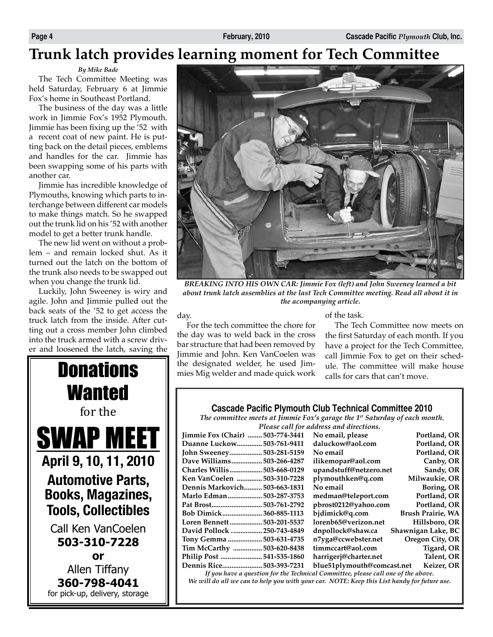### **Trunk latch provides learning moment for Tech Committee**

#### *By Mike Bade*

The Tech Committee Meeting was held Saturday, February 6 at Jimmie Fox's home in Southeast Portland.

The business of the day was a little work in Jimmie Fox's 1952 Plymouth. Jimmie has been fixing up the '52 with a recent coat of new paint. He is putting back on the detail pieces, emblems and handles for the car. Jimmie has been swapping some of his parts with another car.

Jimmie has incredible knowledge of Plymouths, knowing which parts to interchange between different car models to make things match. So he swapped out the trunk lid on his '52 with another model to get a better trunk handle.

The new lid went on without a problem – and remain locked shut. As it turned out the latch on the bottom of the trunk also needs to be swapped out when you change the trunk lid.

Luckily, John Sweeney is wiry and agile. John and Jimmie pulled out the back seats of the '52 to get access the truck latch from the inside. After cutting out a cross member John climbed into the truck armed with a screw driver and loosened the latch, saving the



for pick-up, delivery, storage



*BREAKING INTO HIS OWN CAR: Jimmie Fox (left) and John Sweeney learned a bit about trunk latch assemblies at the last Tech Committee meeting. Read all about it in the acompanying article.*

day.

For the tech committee the chore for the day was to weld back in the cross bar structure that had been removed by Jimmie and John. Ken VanCoelen was **Donations**  $\parallel$  the designated welder, he used Jimof the task.

The Tech Committee now meets on the first Saturday of each month. If you have a project for the Tech Committee, call Jimmie Fox to get on their schedule. The committee will make house calls for cars that can't move.

#### **Cascade Pacific Plymouth Club Technical Committee 2010**

*The committee meets at Jimmie Fox's garage the 1st Saturday of each month. Please call for address and directions.*

|                                                                                   | 1 reproc entre for manniego man marcellonoi |                          |
|-----------------------------------------------------------------------------------|---------------------------------------------|--------------------------|
| 503-774-3441<br>Jimmie Fox (Chair)                                                | No email, please                            | Portland, OR             |
| Duanne Luckow<br>503-761-9411                                                     | daluckow@aol.com                            | Portland, OR             |
| John Sweeney<br>503-281-5159                                                      | No email                                    | Portland, OR             |
| Dave Williams<br>503-266-4287                                                     | ilikemopar@aol.com                          | Canby, OR                |
| Charles Willis<br>503-668-0129                                                    | upandstuff@netzero.net                      | Sandy, OR                |
| Ken VanCoelen<br>503-310-7228                                                     | plymouthken@q.com                           | Milwaukie, OR            |
| Dennis Markovich<br>503-663-1831                                                  | No email                                    | Boring, OR               |
| Marlo Edman<br>503-287-3753                                                       | medman@teleport.com                         | Portland, OR             |
| 503-761-2792<br>Pat Brost                                                         | pbrost0212@yahoo.com                        | Portland, OR             |
| Bob Dimick<br>360-885-1113                                                        | bjdimick@q.com                              | <b>Brush Prairie, WA</b> |
| Loren Bennett503-201-5537                                                         | lorenb65@verizon.net                        | Hillsboro, OR            |
| David Pollock<br>.250-743-4849                                                    | dnpollock@shaw.ca                           | Shawnigan Lake, BC       |
| Tony Gemma 503-631-4735                                                           | n7yga@ccwebster.net                         | Oregon City, OR          |
| Tim McCarthy  503-620-8438                                                        | timmccart@aol.com                           | Tigard, OR               |
| 541-535-1860                                                                      | harrigerj@charter.net                       | Talent, OR               |
| Dennis Rice<br>.503-393-7231                                                      | blue51plymouth@comcast.net                  | Keizer, OR               |
| If you have a question for the Technical Committee, please call one of the above. |                                             |                          |

*We will do all we can to help you with your car. NOTE: Keep this List handy for future use.*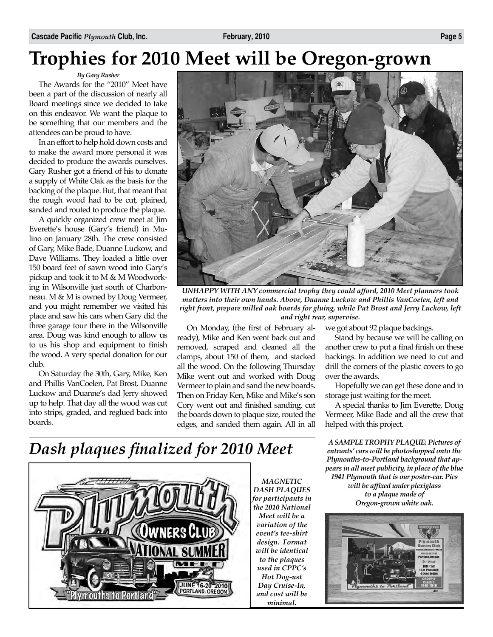## **Trophies for 2010 Meet will be Oregon-grown**

*By Gary Rusher* The Awards for the "2010" Meet have been a part of the discussion of nearly all Board meetings since we decided to take on this endeavor. We want the plaque to be something that our members and the attendees can be proud to have.

In an effort to help hold down costs and to make the award more personal it was decided to produce the awards ourselves. Gary Rusher got a friend of his to donate a supply of White Oak as the basis for the backing of the plaque. But, that meant that the rough wood had to be cut, plained, sanded and routed to produce the plaque.

A quickly organized crew meet at Jim Everette's house (Gary's friend) in Mulino on January 28th. The crew consisted of Gary, Mike Bade, Duanne Luckow, and Dave Williams. They loaded a little over 150 board feet of sawn wood into Gary's pickup and took it to M & M Woodworking in Wilsonville just south of Charbonneau. M & M is owned by Doug Vermeer, and you might remember we visited his place and saw his cars when Gary did the three garage tour there in the Wilsonville area. Doug was kind enough to allow us to us his shop and equipment to finish the wood. A very special donation for our club.

On Saturday the 30th, Gary, Mike, Ken and Phillis VanCoelen, Pat Brost, Duanne Luckow and Duanne's dad Jerry showed up to help. That day all the wood was cut into strips, graded, and reglued back into boards.



*UNHAPPY WITH ANY commercial trophy they could afford, 2010 Meet planners took matters into their own hands. Above, Duanne Luckow and Phillis VanCoelen, left and right front, prepare milled oak boards for gluing, while Pat Brost and Jerry Luckow, left and right rear, supervise.* 

On Monday, (the first of February already), Mike and Ken went back out and removed, scraped and cleaned all the clamps, about 150 of them, and stacked all the wood. On the following Thursday Mike went out and worked with Doug Vermeer to plain and sand the new boards. Then on Friday Ken, Mike and Mike's son Cory went out and finished sanding, cut the boards down to plaque size, routed the edges, and sanded them again. All in all we got about 92 plaque backings.

Stand by because we will be calling on another crew to put a final finish on these backings. In addition we need to cut and drill the corners of the plastic covers to go over the awards.

Hopefully we can get these done and in storage just waiting for the meet.

A special thanks to Jim Everette, Doug Vermeer, Mike Bade and all the crew that helped with this project.

*A SAMPLE TROPHY PLAQUE: Pictures of entrants' cars will be photoshopped onto the Plymouths-to-Portland background that appears in all meet publicity, in place of the blue 1941 Plymouth that is our poster-car. Pics will be affixed under plexiglass to a plaque made of Oregon-grown white oak.* 



### *Dash plaques finalized for 2010 Meet*



*MAGNETIC DASH PLAQUES for participants in the 2010 National Meet will be a variation of the event's tee-shirt design. Format will be identical to the plaques used in CPPC's Hot Dog-ust Day Cruise-In, and cost will be minimal.*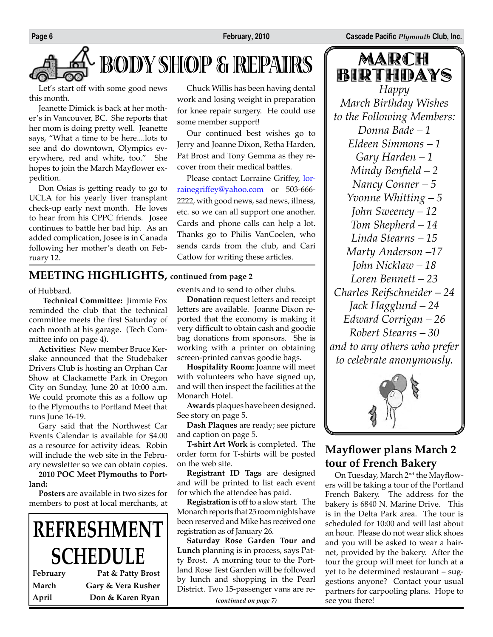

# **BODY SHOP & REPAIRS**

Let's start off with some good news this month.

Jeanette Dimick is back at her mother's in Vancouver, BC. She reports that her mom is doing pretty well. Jeanette says, "What a time to be here....lots to see and do downtown, Olympics everywhere, red and white, too." She hopes to join the March Mayflower expedition.

Don Osias is getting ready to go to UCLA for his yearly liver transplant check-up early next month. He loves to hear from his CPPC friends. Josee continues to battle her bad hip. As an added complication, Josee is in Canada following her mother's death on February 12.

**MEETING HIGHLIGHTS, continued from page 2**

of Hubbard.

 **Technical Committee:** Jimmie Fox reminded the club that the technical committee meets the first Saturday of each month at his garage. (Tech Committee info on page 4).

**Activities:** New member Bruce Kerslake announced that the Studebaker Drivers Club is hosting an Orphan Car Show at Clackamette Park in Oregon City on Sunday, June 20 at 10:00 a.m. We could promote this as a follow up to the Plymouths to Portland Meet that runs June 16-19.

Gary said that the Northwest Car Events Calendar is available for \$4.00 as a resource for activity ideas. Robin will include the web site in the February newsletter so we can obtain copies.

**2010 POC Meet Plymouths to Portland:**

**Posters** are available in two sizes for members to post at local merchants, at

# **REFRESHMENT SCHEDULE**

| February | Pat & Patty Brost  |
|----------|--------------------|
| March    | Gary & Vera Rusher |
| April    | Don & Karen Ryan   |

Chuck Willis has been having dental work and losing weight in preparation for knee repair surgery. He could use some member support!

Our continued best wishes go to Jerry and Joanne Dixon, Retha Harden, Pat Brost and Tony Gemma as they recover from their medical battles.

Please contact Lorraine Griffey, lorrainegriffey@yahoo.com or 503-666-2222, with good news, sad news, illness, etc. so we can all support one another. Cards and phone calls can help a lot. Thanks go to Philis VanCoelen, who sends cards from the club, and Cari Catlow for writing these articles.

events and to send to other clubs.

**Donation** request letters and receipt letters are available. Joanne Dixon reported that the economy is making it very difficult to obtain cash and goodie bag donations from sponsors. She is working with a printer on obtaining screen-printed canvas goodie bags.

**Hospitality Room:** Joanne will meet with volunteers who have signed up, and will then inspect the facilities at the Monarch Hotel.

**Awards** plaques have been designed. See story on page 5.

**Dash Plaques** are ready; see picture and caption on page 5.

**T-shirt Art Work** is completed. The order form for T-shirts will be posted on the web site.

**Registrant ID Tags** are designed and will be printed to list each event for which the attendee has paid.

**Registration** is off to a slow start. The Monarch reports that 25 room nights have been reserved and Mike has received one registration as of January 26.

**Saturday Rose Garden Tour and Lunch** planning is in process, says Patty Brost. A morning tour to the Portland Rose Test Garden will be followed by lunch and shopping in the Pearl District. Two 15-passenger vans are re-

*(continued on page 7)*

MARCH BIRTHDAYS *Happy March Birthday Wishes to the Following Members: Donna Bade – 1 Eldeen Simmons – 1 Gary Harden – 1 Mindy Benfield – 2 Nancy Conner – 5 Yvonne Whitting – 5 John Sweeney – 12 Tom Shepherd – 14 Linda Stearns – 15 Marty Anderson –17 John Nicklaw – 18 Loren Bennett – 23 Charles Reifschneider – 24 Jack Hagglund – 24 Edward Corrigan – 26 Robert Stearns – 30 and to any others who prefer to celebrate anonymously.*



### **Mayflower plans March 2 tour of French Bakery**

On Tuesday, March 2<sup>nd</sup> the Mayflowers will be taking a tour of the Portland French Bakery. The address for the bakery is 6840 N. Marine Drive. This is in the Delta Park area. The tour is scheduled for 10:00 and will last about an hour. Please do not wear slick shoes and you will be asked to wear a hairnet, provided by the bakery. After the tour the group will meet for lunch at a yet to be determined restaurant – suggestions anyone? Contact your usual partners for carpooling plans. Hope to see you there!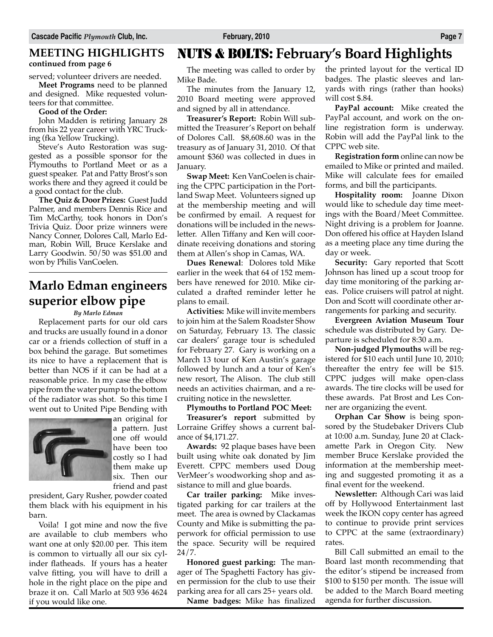### **MEETING HIGHLIGHTS continued from page 6**

served; volunteer drivers are needed.

**Meet Programs** need to be planned and designed. Mike requested volunteers for that committee.

#### **Good of the Order:**

John Madden is retiring January 28 from his 22 year career with YRC Trucking (fka Yellow Trucking).

Steve's Auto Restoration was suggested as a possible sponsor for the Plymouths to Portland Meet or as a guest speaker. Pat and Patty Brost's son works there and they agreed it could be a good contact for the club.

**The Quiz & Door Prizes:** Guest Judd Palmer, and members Dennis Rice and Tim McCarthy, took honors in Don's Trivia Quiz. Door prize winners were Nancy Conner, Dolores Call, Marlo Edman, Robin Will, Bruce Kerslake and Larry Goodwin. 50/50 was \$51.00 and won by Philis VanCoelen.

### **Marlo Edman engineers superior elbow pipe**

 $\overline{a}$ 

#### *By Marlo Edman*

Replacement parts for our old cars and trucks are usually found in a donor car or a friends collection of stuff in a box behind the garage. But sometimes its nice to have a replacement that is better than NOS if it can be had at a reasonable price. In my case the elbow pipe from the water pump to the bottom of the radiator was shot. So this time I went out to United Pipe Bending with



an original for a pattern. Just one off would have been too costly so I had them make up six. Then our friend and past

president, Gary Rusher, powder coated them black with his equipment in his barn.

Voila! I got mine and now the five are available to club members who want one at only \$20.00 per. This item is common to virtually all our six cylinder flatheads. If yours has a heater valve fitting, you will have to drill a hole in the right place on the pipe and braze it on. Call Marlo at 503 936 4624 if you would like one.

### NUTS & BOLTS: **February's Board Highlights**

The meeting was called to order by Mike Bade.

The minutes from the January 12, 2010 Board meeting were approved and signed by all in attendance.

**Treasurer's Report:** Robin Will submitted the Treasurer's Report on behalf of Dolores Call. \$8,608.60 was in the treasury as of January 31, 2010. Of that amount \$360 was collected in dues in January.

**Swap Meet:** Ken VanCoelen is chairing the CPPC participation in the Portland Swap Meet. Volunteers signed up at the membership meeting and will be confirmed by email. A request for donations will be included in the newsletter. Allen Tiffany and Ken will coordinate receiving donations and storing them at Allen's shop in Camas, WA.

**Dues Renewal**: Dolores told Mike earlier in the week that 64 of 152 members have renewed for 2010. Mike circulated a drafted reminder letter he plans to email.

**Activities:** Mike will invite members to join him at the Salem Roadster Show on Saturday, February 13. The classic car dealers' garage tour is scheduled for February 27. Gary is working on a March 13 tour of Ken Austin's garage followed by lunch and a tour of Ken's new resort, The Alison. The club still needs an activities chairman, and a recruiting notice in the newsletter.

#### **Plymouths to Portland POC Meet:**

**Treasurer's report** submitted by Lorraine Griffey shows a current balance of \$4,171.27.

**Awards:** 92 plaque bases have been built using white oak donated by Jim Everett. CPPC members used Doug VerMeer's woodworking shop and assistance to mill and glue boards.

**Car trailer parking:** Mike investigated parking for car trailers at the meet. The area is owned by Clackamas County and Mike is submitting the paperwork for official permission to use the space. Security will be required 24/7.

**Honored guest parking:** The manager of The Spaghetti Factory has given permission for the club to use their parking area for all cars 25+ years old.

**Name badges:** Mike has finalized

the printed layout for the vertical ID badges. The plastic sleeves and lanyards with rings (rather than hooks) will cost \$.84.

**PayPal account:** Mike created the PayPal account, and work on the online registration form is underway. Robin will add the PayPal link to the CPPC web site.

**Registration form** online can now be emailed to Mike or printed and mailed. Mike will calculate fees for emailed forms, and bill the participants.

**Hospitality room:** Joanne Dixon would like to schedule day time meetings with the Board/Meet Committee. Night driving is a problem for Joanne. Don offered his office at Hayden Island as a meeting place any time during the day or week.

**Security:** Gary reported that Scott Johnson has lined up a scout troop for day time monitoring of the parking areas. Police cruisers will patrol at night. Don and Scott will coordinate other arrangements for parking and security.

**Evergreen Aviation Museum Tour** schedule was distributed by Gary. Departure is scheduled for 8:30 a.m.

**Non-judged Plymouths** will be registered for \$10 each until June 10, 2010; thereafter the entry fee will be \$15. CPPC judges will make open-class awards. The tire clocks will be used for these awards. Pat Brost and Les Conner are organizing the event.

**Orphan Car Show** is being sponsored by the Studebaker Drivers Club at 10:00 a.m. Sunday, June 20 at Clackamette Park in Oregon City. New member Bruce Kerslake provided the information at the membership meeting and suggested promoting it as a final event for the weekend.

**Newsletter:** Although Cari was laid off by Hollywood Entertainment last week the IKON copy center has agreed to continue to provide print services to CPPC at the same (extraordinary) rates.

Bill Call submitted an email to the Board last month recommending that the editor's stipend be increased from \$100 to \$150 per month. The issue will be added to the March Board meeting agenda for further discussion.